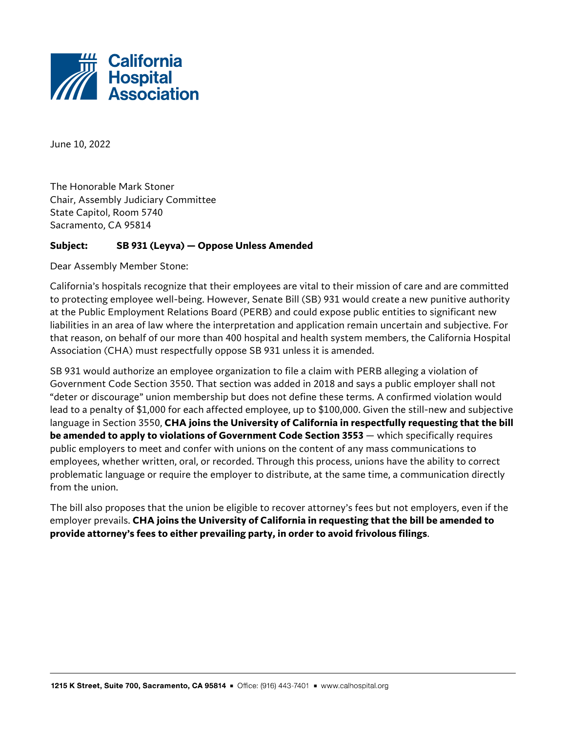

June 10, 2022

The Honorable Mark Stoner Chair, Assembly Judiciary Committee State Capitol, Room 5740 Sacramento, CA 95814

## **Subject: SB 931 (Leyva) — Oppose Unless Amended**

Dear Assembly Member Stone:

California's hospitals recognize that their employees are vital to their mission of care and are committed to protecting employee well-being. However, Senate Bill (SB) 931 would create a new punitive authority at the Public Employment Relations Board (PERB) and could expose public entities to significant new liabilities in an area of law where the interpretation and application remain uncertain and subjective. For that reason, on behalf of our more than 400 hospital and health system members, the California Hospital Association (CHA) must respectfully oppose SB 931 unless it is amended.

SB 931 would authorize an employee organization to file a claim with PERB alleging a violation of Government Code Section 3550. That section was added in 2018 and says a public employer shall not "deter or discourage" union membership but does not define these terms. A confirmed violation would lead to a penalty of \$1,000 for each affected employee, up to \$100,000. Given the still-new and subjective language in Section 3550, **CHA joins the University of California in respectfully requesting that the bill be amended to apply to violations of Government Code Section 3553** — which specifically requires public employers to meet and confer with unions on the content of any mass communications to employees, whether written, oral, or recorded. Through this process, unions have the ability to correct problematic language or require the employer to distribute, at the same time, a communication directly from the union.

The bill also proposes that the union be eligible to recover attorney's fees but not employers, even if the employer prevails. **CHA joins the University of California in requesting that the bill be amended to provide attorney's fees to either prevailing party, in order to avoid frivolous filings**.